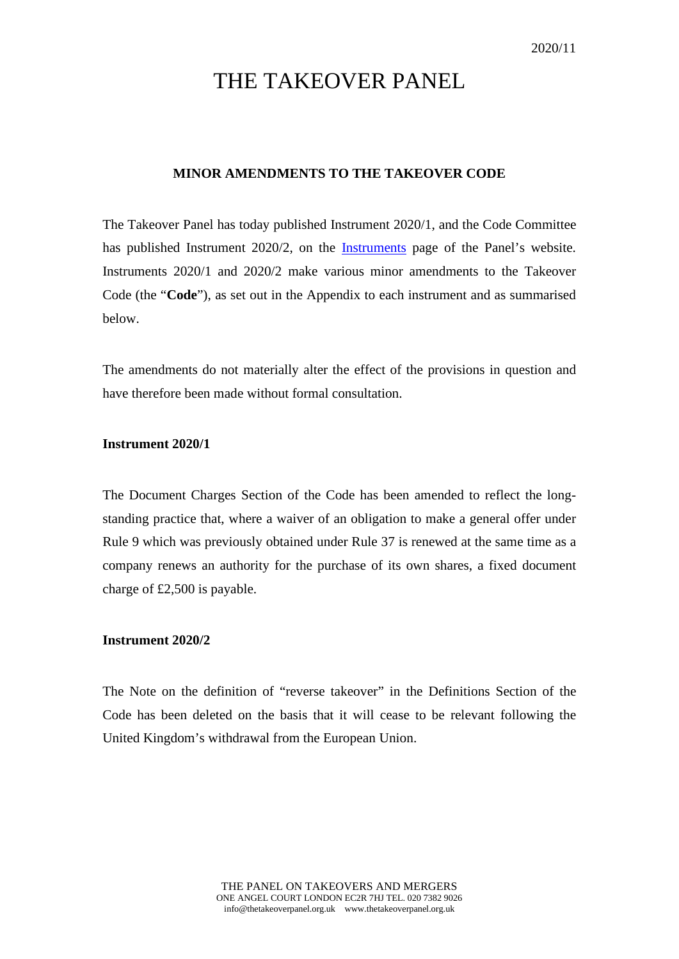# THE TAKEOVER PANEL

## **MINOR AMENDMENTS TO THE TAKEOVER CODE**

The Takeover Panel has today published Instrument 2020/1, and the Code Committee has published Instrument 2020/2, on the [Instruments](https://www.thetakeoverpanel.org.uk/the-code/download-code/list-of-instruments-and-links) page of the Panel's website. Instruments 2020/1 and 2020/2 make various minor amendments to the Takeover Code (the "**Code**"), as set out in the Appendix to each instrument and as summarised below.

The amendments do not materially alter the effect of the provisions in question and have therefore been made without formal consultation.

## **Instrument 2020/1**

The Document Charges Section of the Code has been amended to reflect the longstanding practice that, where a waiver of an obligation to make a general offer under Rule 9 which was previously obtained under Rule 37 is renewed at the same time as a company renews an authority for the purchase of its own shares, a fixed document charge of £2,500 is payable.

#### **Instrument 2020/2**

The Note on the definition of "reverse takeover" in the Definitions Section of the Code has been deleted on the basis that it will cease to be relevant following the United Kingdom's withdrawal from the European Union.